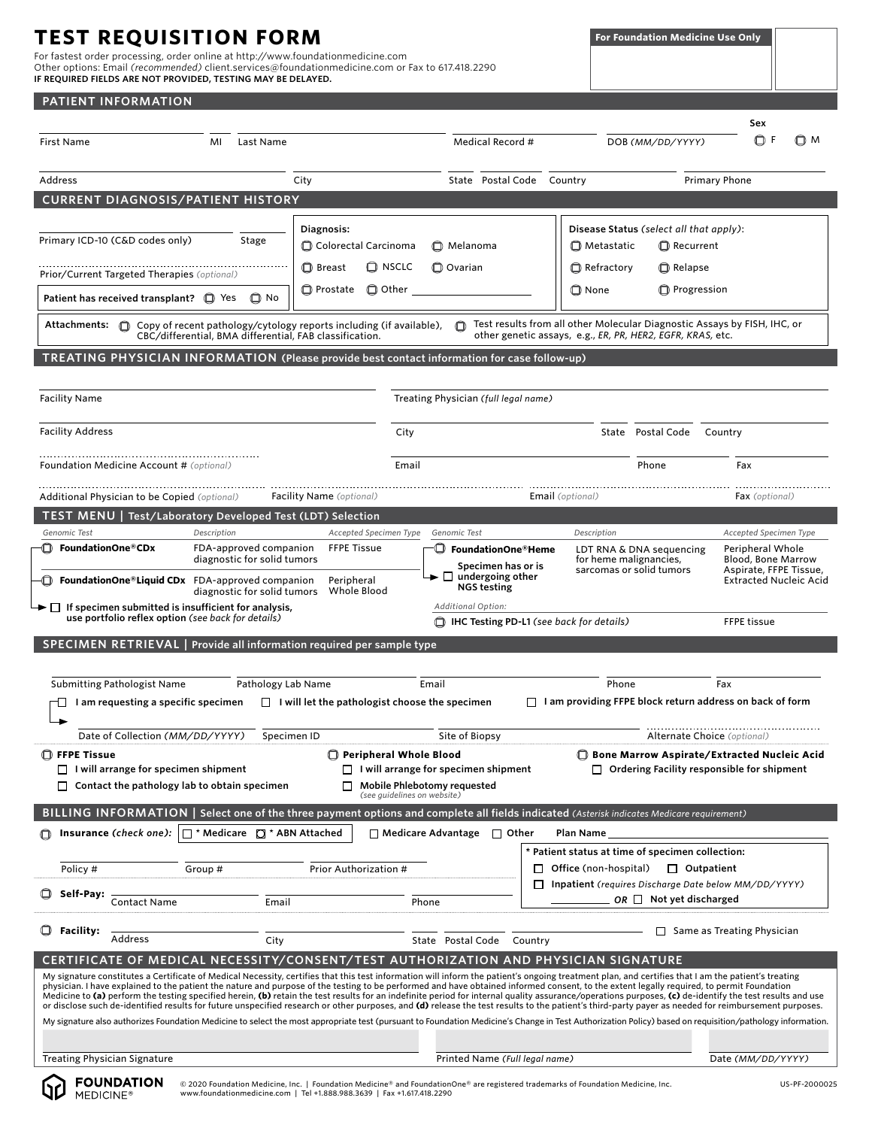# **TEST REQUISITION FORM**

**PATIENT INFORMATION**

For fastest order processing, order online at http://www.foundationmedicine.com Other options: Email *(recommended)* client.services@foundationmedicine.com or Fax to 617.418.2290 **IF REQUIRED FIELDS ARE NOT PROVIDED, TESTING MAY BE DELAYED.**

|                                                                                                                                                                                                                                                         | <u>IILINI IINI VINIMITIVI</u>                                                                                               |             |                                                       |                                                         |                             |                                                                                                                                                                                                                                                                                                                                                                                                                                                                                                                                                                                                                                                                                                                                                                                                                                                                                                                                                                                                                               |                         |               |                                                                                                                                        | Sex                                                                                                      |     |
|---------------------------------------------------------------------------------------------------------------------------------------------------------------------------------------------------------------------------------------------------------|-----------------------------------------------------------------------------------------------------------------------------|-------------|-------------------------------------------------------|---------------------------------------------------------|-----------------------------|-------------------------------------------------------------------------------------------------------------------------------------------------------------------------------------------------------------------------------------------------------------------------------------------------------------------------------------------------------------------------------------------------------------------------------------------------------------------------------------------------------------------------------------------------------------------------------------------------------------------------------------------------------------------------------------------------------------------------------------------------------------------------------------------------------------------------------------------------------------------------------------------------------------------------------------------------------------------------------------------------------------------------------|-------------------------|---------------|----------------------------------------------------------------------------------------------------------------------------------------|----------------------------------------------------------------------------------------------------------|-----|
| First Name                                                                                                                                                                                                                                              |                                                                                                                             | MI          | Last Name                                             |                                                         |                             | Medical Record #                                                                                                                                                                                                                                                                                                                                                                                                                                                                                                                                                                                                                                                                                                                                                                                                                                                                                                                                                                                                              |                         |               | DOB (MM/DD/YYYY)                                                                                                                       | ΟF                                                                                                       | © M |
| Address                                                                                                                                                                                                                                                 |                                                                                                                             |             |                                                       | City                                                    |                             | State Postal Code Country                                                                                                                                                                                                                                                                                                                                                                                                                                                                                                                                                                                                                                                                                                                                                                                                                                                                                                                                                                                                     |                         |               |                                                                                                                                        | <b>Primary Phone</b>                                                                                     |     |
|                                                                                                                                                                                                                                                         | <b>CURRENT DIAGNOSIS/PATIENT HISTORY</b>                                                                                    |             |                                                       |                                                         |                             |                                                                                                                                                                                                                                                                                                                                                                                                                                                                                                                                                                                                                                                                                                                                                                                                                                                                                                                                                                                                                               |                         |               |                                                                                                                                        |                                                                                                          |     |
|                                                                                                                                                                                                                                                         |                                                                                                                             |             |                                                       |                                                         |                             |                                                                                                                                                                                                                                                                                                                                                                                                                                                                                                                                                                                                                                                                                                                                                                                                                                                                                                                                                                                                                               |                         |               |                                                                                                                                        |                                                                                                          |     |
|                                                                                                                                                                                                                                                         | Primary ICD-10 (C&D codes only)                                                                                             |             | Stage                                                 | Diagnosis:<br>Colorectal Carcinoma                      |                             | Melanoma                                                                                                                                                                                                                                                                                                                                                                                                                                                                                                                                                                                                                                                                                                                                                                                                                                                                                                                                                                                                                      |                         | □ Metastatic  | Disease Status (select all that apply):<br>Recurrent                                                                                   |                                                                                                          |     |
|                                                                                                                                                                                                                                                         | Prior/Current Targeted Therapies (optional)                                                                                 |             |                                                       | <b>D</b> Breast                                         | <b>D</b> NSCLC              | <b>Q</b> Ovarian                                                                                                                                                                                                                                                                                                                                                                                                                                                                                                                                                                                                                                                                                                                                                                                                                                                                                                                                                                                                              |                         | Refractory    | Relapse                                                                                                                                |                                                                                                          |     |
|                                                                                                                                                                                                                                                         | Patient has received transplant? I Yes                                                                                      |             | $\Box$ No                                             | <b>D</b> Prostate                                       | $\Box$ Other                |                                                                                                                                                                                                                                                                                                                                                                                                                                                                                                                                                                                                                                                                                                                                                                                                                                                                                                                                                                                                                               |                         | <b>□</b> None | <b>C</b> Progression                                                                                                                   |                                                                                                          |     |
|                                                                                                                                                                                                                                                         | Attachments: $\bigcirc$ Copy of recent pathology/cytology reports including (if available),                                 |             |                                                       | CBC/differential, BMA differential, FAB classification. |                             |                                                                                                                                                                                                                                                                                                                                                                                                                                                                                                                                                                                                                                                                                                                                                                                                                                                                                                                                                                                                                               |                         |               | Test results from all other Molecular Diagnostic Assays by FISH, IHC, or<br>other genetic assays, e.g., ER, PR, HER2, EGFR, KRAS, etc. |                                                                                                          |     |
|                                                                                                                                                                                                                                                         |                                                                                                                             |             |                                                       |                                                         |                             | TREATING PHYSICIAN INFORMATION (Please provide best contact information for case follow-up)                                                                                                                                                                                                                                                                                                                                                                                                                                                                                                                                                                                                                                                                                                                                                                                                                                                                                                                                   |                         |               |                                                                                                                                        |                                                                                                          |     |
| <b>Facility Name</b>                                                                                                                                                                                                                                    |                                                                                                                             |             |                                                       |                                                         |                             | Treating Physician (full legal name)                                                                                                                                                                                                                                                                                                                                                                                                                                                                                                                                                                                                                                                                                                                                                                                                                                                                                                                                                                                          |                         |               |                                                                                                                                        |                                                                                                          |     |
| <b>Facility Address</b>                                                                                                                                                                                                                                 |                                                                                                                             |             |                                                       |                                                         | City                        |                                                                                                                                                                                                                                                                                                                                                                                                                                                                                                                                                                                                                                                                                                                                                                                                                                                                                                                                                                                                                               |                         |               | State Postal Code Country                                                                                                              |                                                                                                          |     |
|                                                                                                                                                                                                                                                         | <b>Foundation Medicine Account # (optional)</b>                                                                             |             |                                                       |                                                         | Email                       |                                                                                                                                                                                                                                                                                                                                                                                                                                                                                                                                                                                                                                                                                                                                                                                                                                                                                                                                                                                                                               |                         |               | Phone                                                                                                                                  | Fax                                                                                                      |     |
|                                                                                                                                                                                                                                                         | Additional Physician to be Copied (optional)                                                                                |             |                                                       | <b>Facility Name</b> (optional)                         |                             |                                                                                                                                                                                                                                                                                                                                                                                                                                                                                                                                                                                                                                                                                                                                                                                                                                                                                                                                                                                                                               | <b>Email</b> (optional) |               |                                                                                                                                        | Fax (optional)                                                                                           |     |
|                                                                                                                                                                                                                                                         | TEST MENU   Test/Laboratory Developed Test (LDT) Selection                                                                  |             |                                                       |                                                         |                             |                                                                                                                                                                                                                                                                                                                                                                                                                                                                                                                                                                                                                                                                                                                                                                                                                                                                                                                                                                                                                               |                         |               |                                                                                                                                        |                                                                                                          |     |
| Genomic Test                                                                                                                                                                                                                                            |                                                                                                                             | Description |                                                       |                                                         | Accepted Specimen Type      | Genomic Test                                                                                                                                                                                                                                                                                                                                                                                                                                                                                                                                                                                                                                                                                                                                                                                                                                                                                                                                                                                                                  |                         | Description   |                                                                                                                                        | Accepted Specimen Type                                                                                   |     |
| └□ FoundationOne®CDx                                                                                                                                                                                                                                    | $\Box$ FoundationOne®Liquid CDx FDA-approved companion                                                                      |             | FDA-approved companion<br>diagnostic for solid tumors | <b>FFPE Tissue</b><br>Peripheral                        |                             | <b>D</b> FoundationOne®Heme<br>Specimen has or is<br>$\blacktriangleright \Box$ undergoing other                                                                                                                                                                                                                                                                                                                                                                                                                                                                                                                                                                                                                                                                                                                                                                                                                                                                                                                              |                         |               | LDT RNA & DNA sequencing<br>for heme malignancies,<br>sarcomas or solid tumors                                                         | Peripheral Whole<br><b>Blood, Bone Marrow</b><br>Aspirate, FFPE Tissue,<br><b>Extracted Nucleic Acid</b> |     |
| <b>NGS testing</b><br>Whole Blood<br>diagnostic for solid tumors<br>$\blacktriangleright \Box$ If specimen submitted is insufficient for analysis,<br>Additional Option:                                                                                |                                                                                                                             |             |                                                       |                                                         |                             |                                                                                                                                                                                                                                                                                                                                                                                                                                                                                                                                                                                                                                                                                                                                                                                                                                                                                                                                                                                                                               |                         |               |                                                                                                                                        |                                                                                                          |     |
|                                                                                                                                                                                                                                                         | use portfolio reflex option (see back for details)<br>SPECIMEN RETRIEVAL   Provide all information required per sample type |             |                                                       |                                                         |                             | <b>T</b> IHC Testing PD-L1 (see back for details)                                                                                                                                                                                                                                                                                                                                                                                                                                                                                                                                                                                                                                                                                                                                                                                                                                                                                                                                                                             |                         |               |                                                                                                                                        | <b>FFPE tissue</b>                                                                                       |     |
|                                                                                                                                                                                                                                                         |                                                                                                                             |             |                                                       |                                                         |                             |                                                                                                                                                                                                                                                                                                                                                                                                                                                                                                                                                                                                                                                                                                                                                                                                                                                                                                                                                                                                                               |                         |               |                                                                                                                                        |                                                                                                          |     |
|                                                                                                                                                                                                                                                         | <b>Submitting Pathologist Name</b>                                                                                          |             | Pathology Lab Name                                    |                                                         |                             | Email                                                                                                                                                                                                                                                                                                                                                                                                                                                                                                                                                                                                                                                                                                                                                                                                                                                                                                                                                                                                                         |                         | Phone         |                                                                                                                                        | Fax                                                                                                      |     |
|                                                                                                                                                                                                                                                         | $\Box$ I am requesting a specific specimen                                                                                  |             |                                                       |                                                         |                             | $\Box$ I will let the pathologist choose the specimen                                                                                                                                                                                                                                                                                                                                                                                                                                                                                                                                                                                                                                                                                                                                                                                                                                                                                                                                                                         |                         |               | $\Box$ I am providing FFPE block return address on back of form                                                                        |                                                                                                          |     |
|                                                                                                                                                                                                                                                         | Date of Collection (MM/DD/YYYY)                                                                                             |             | Specimen ID                                           |                                                         |                             | Site of Biopsy                                                                                                                                                                                                                                                                                                                                                                                                                                                                                                                                                                                                                                                                                                                                                                                                                                                                                                                                                                                                                |                         |               |                                                                                                                                        | Alternate Choice (optional)                                                                              |     |
| <b>T</b> FFPE Tissue<br>Peripheral Whole Blood<br><b>Bone Marrow Aspirate/Extracted Nucleic Acid</b><br>$\Box$ I will arrange for specimen shipment<br>$\Box$ I will arrange for specimen shipment<br>$\Box$ Ordering Facility responsible for shipment |                                                                                                                             |             |                                                       |                                                         |                             |                                                                                                                                                                                                                                                                                                                                                                                                                                                                                                                                                                                                                                                                                                                                                                                                                                                                                                                                                                                                                               |                         |               |                                                                                                                                        |                                                                                                          |     |
|                                                                                                                                                                                                                                                         | $\Box$ Contact the pathology lab to obtain specimen                                                                         |             |                                                       | $\Box$                                                  | (see quidelines on website) | Mobile Phlebotomy requested                                                                                                                                                                                                                                                                                                                                                                                                                                                                                                                                                                                                                                                                                                                                                                                                                                                                                                                                                                                                   |                         |               |                                                                                                                                        |                                                                                                          |     |
|                                                                                                                                                                                                                                                         |                                                                                                                             |             |                                                       |                                                         |                             | BILLING INFORMATION   Select one of the three payment options and complete all fields indicated (Asterisk indicates Medicare requirement)                                                                                                                                                                                                                                                                                                                                                                                                                                                                                                                                                                                                                                                                                                                                                                                                                                                                                     |                         |               |                                                                                                                                        |                                                                                                          |     |
|                                                                                                                                                                                                                                                         | Insurance (check one):                                                                                                      |             | $\Box$ * Medicare $\Box$ * ABN Attached               |                                                         |                             | $\Box$ Medicare Advantage<br>$\Box$ Other                                                                                                                                                                                                                                                                                                                                                                                                                                                                                                                                                                                                                                                                                                                                                                                                                                                                                                                                                                                     |                         | Plan Name     |                                                                                                                                        |                                                                                                          |     |
|                                                                                                                                                                                                                                                         |                                                                                                                             |             |                                                       |                                                         |                             |                                                                                                                                                                                                                                                                                                                                                                                                                                                                                                                                                                                                                                                                                                                                                                                                                                                                                                                                                                                                                               |                         |               | * Patient status at time of specimen collection:                                                                                       |                                                                                                          |     |
| Prior Authorization #<br>Policy #<br>Group #                                                                                                                                                                                                            |                                                                                                                             |             |                                                       | $\Box$ Office (non-hospital)<br>$\Box$ Outpatient       |                             |                                                                                                                                                                                                                                                                                                                                                                                                                                                                                                                                                                                                                                                                                                                                                                                                                                                                                                                                                                                                                               |                         |               |                                                                                                                                        |                                                                                                          |     |
| Self-Pay:                                                                                                                                                                                                                                               | <b>Contact Name</b>                                                                                                         |             | Email                                                 |                                                         |                             | Phone                                                                                                                                                                                                                                                                                                                                                                                                                                                                                                                                                                                                                                                                                                                                                                                                                                                                                                                                                                                                                         |                         |               | Inpatient (requires Discharge Date below MM/DD/YYYY)<br>OR $\Box$ Not yet discharged                                                   |                                                                                                          |     |
| Facility:                                                                                                                                                                                                                                               | Address                                                                                                                     |             | City                                                  |                                                         |                             | State Postal Code                                                                                                                                                                                                                                                                                                                                                                                                                                                                                                                                                                                                                                                                                                                                                                                                                                                                                                                                                                                                             | Country                 |               | ப                                                                                                                                      | Same as Treating Physician                                                                               |     |
|                                                                                                                                                                                                                                                         |                                                                                                                             |             |                                                       |                                                         |                             | CERTIFICATE OF MEDICAL NECESSITY/CONSENT/TEST AUTHORIZATION AND PHYSICIAN SIGNATURE                                                                                                                                                                                                                                                                                                                                                                                                                                                                                                                                                                                                                                                                                                                                                                                                                                                                                                                                           |                         |               |                                                                                                                                        |                                                                                                          |     |
|                                                                                                                                                                                                                                                         |                                                                                                                             |             |                                                       |                                                         |                             | My signature constitutes a Certificate of Medical Necessity, certifies that this test information will inform the patient's ongoing treatment plan, and certifies that I am the patient's treating<br>physician. I have explained to the patient the nature and purpose of the testing to be performed and have obtained informed consent, to the extent legally required, to permit Foundation<br>Medicine to (a) perform the testing specified herein, (b) retain the test results for an indefinite period for internal quality assurance/operations purposes, (c) de-identify the test results and use<br>or disclose such de-identified results for future unspecified research or other purposes, and (d) release the test results to the patient's third-party payer as needed for reimbursement purposes.<br>My signature also authorizes Foundation Medicine to select the most appropriate test (pursuant to Foundation Medicine's Change in Test Authorization Policy) based on requisition/pathology information. |                         |               |                                                                                                                                        |                                                                                                          |     |
|                                                                                                                                                                                                                                                         |                                                                                                                             |             |                                                       |                                                         |                             |                                                                                                                                                                                                                                                                                                                                                                                                                                                                                                                                                                                                                                                                                                                                                                                                                                                                                                                                                                                                                               |                         |               |                                                                                                                                        |                                                                                                          |     |

Treating Physician Signature **Printed Name** *(Full legal name)* Printed Name *(Full legal name)* Date *(MM/DD/YYYYY)* 

**FOUNDATION** かり MEDICINE<sup>®</sup>